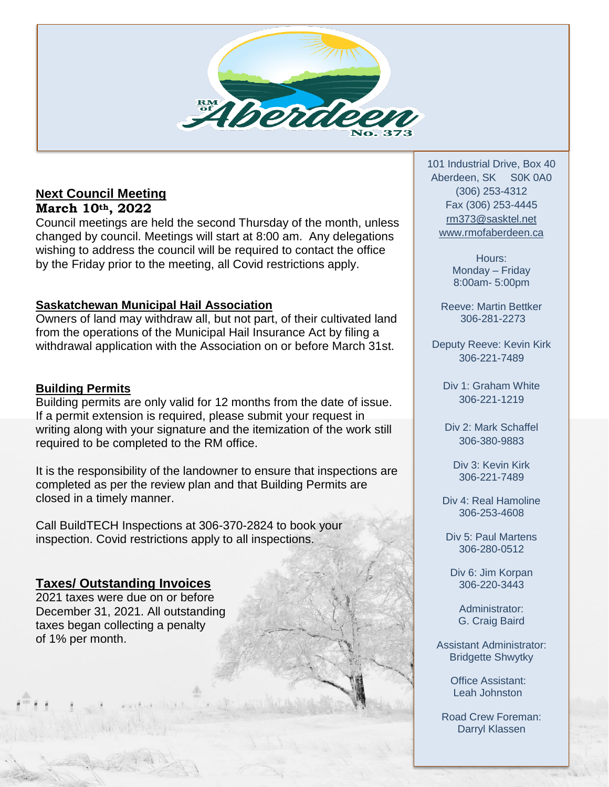

# **Next Council Meeting**

**March 10th, 2022**

Council meetings are held the second Thursday of the month, unless changed by council. Meetings will start at 8:00 am. Any delegations wishing to address the council will be required to contact the office by the Friday prior to the meeting, all Covid restrictions apply.

### **Saskatchewan Municipal Hail Association**

Owners of land may withdraw all, but not part, of their cultivated land from the operations of the Municipal Hail Insurance Act by filing a withdrawal application with the Association on or before March 31st.

### **Building Permits**

Building permits are only valid for 12 months from the date of issue. If a permit extension is required, please submit your request in writing along with your signature and the itemization of the work still required to be completed to the RM office.

It is the responsibility of the landowner to ensure that inspections are completed as per the review plan and that Building Permits are closed in a timely manner.

Call BuildTECH Inspections at 306-370-2824 to book your inspection. Covid restrictions apply to all inspections.

## **Taxes/ Outstanding Invoices**

2021 taxes were due on or before December 31, 2021. All outstanding taxes began collecting a penalty of 1% per month.

101 Industrial Drive, Box 40 Aberdeen, SK S0K 0A0 (306) 253-4312 Fax (306) 253-4445 [rm373@sasktel.net](mailto:rm373@sasktel.net) [www.rmofaberdeen.ca](http://www.rmofaberdeen.ca/)

> Hours: Monday – Friday 8:00am- 5:00pm

Reeve: Martin Bettker 306-281-2273

Deputy Reeve: Kevin Kirk 306-221-7489

Div 1: Graham White 306-221-1219

Div 2: Mark Schaffel 306-380-9883

Div 3: Kevin Kirk 306-221-7489

Div 4: Real Hamoline 306-253-4608

Div 5: Paul Martens 306-280-0512

Div 6: Jim Korpan 306-220-3443

Administrator: G. Craig Baird

Assistant Administrator: Bridgette Shwytky

> Office Assistant: Leah Johnston

Road Crew Foreman: Darryl Klassen